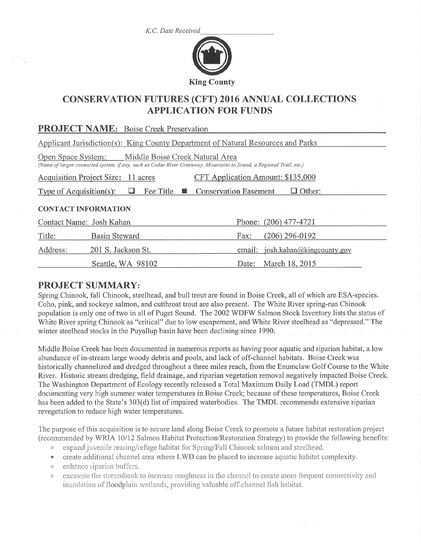K.C. Date Received



# CONSERVATTON FUTURES (CFT) 2016 ANNUAL COLLECTTONS APPLICATION FOR FUNDS

| <b>PROJECT NAME:</b> Boise Creek Preservation                                                                                                                             |                      |  |  |  |        |                           |
|---------------------------------------------------------------------------------------------------------------------------------------------------------------------------|----------------------|--|--|--|--------|---------------------------|
| Applicant Jurisdiction(s): King County Department of Natural Resources and Parks                                                                                          |                      |  |  |  |        |                           |
| Open Space System: Middle Boise Creek Natural Area<br>(Name of larger connected system, if any, such as Cedar River Greenway, Mountains to Sound, a Regional Trail, etc.) |                      |  |  |  |        |                           |
| CFT Application Amount: \$135,000<br>Acquisition Project Size: 11 acres                                                                                                   |                      |  |  |  |        |                           |
| Fee Title $\blacksquare$<br>Type of Acquisition(s): $\Box$<br><b>Conservation Easement</b><br>$\Box$ Other:                                                               |                      |  |  |  |        |                           |
| <b>CONTACT INFORMATION</b>                                                                                                                                                |                      |  |  |  |        |                           |
| Contact Name: Josh Kahan                                                                                                                                                  |                      |  |  |  |        | Phone: (206) 477-4721     |
| Title:                                                                                                                                                                    | <b>Basin Steward</b> |  |  |  | Fax:   | $(206)$ 296-0192          |
| Address:                                                                                                                                                                  | 201 S. Jackson St.   |  |  |  | email: | josh.kahan@kingcounty.gov |
|                                                                                                                                                                           | Seattle, WA 98102    |  |  |  | Date:  | March 18, 2015            |

## PROJECT SUMMARY:

Spring Chinook, fall Chinook, steelhead, and bull trout are found in Boise Creek, all of which are ESA-species. Coho, pink, and sockeye salmon, and cutthroat trout are also present. The White River spring-run Chinook population is only one of two in all of Puget Sound. The 2002 WDFW Salmon Stock Inventory lists the status of White River spring Chinook as "critical" due to low escapement, and White River steelhead as "depressed." The winter steelhead stocks in the Puyallup basin have been declining since 1990.

Middle Boise Creek has been documented in numerous reports as having poor aquatic and riparian habitat, a low abundance of in-stream large woody debris and pools, and lack of off-channel habitats. Boise Creek was historically channelized and dredged throughout a three miles reach, from the Enumclaw Golf Course to the White River. Historic stream dredging, field drainage, and riparian vegetation removal negatively impacted Boise Creek. The Washington Department of Ecology recently released a Total Maximum Daily Load (TMDL) report documenting very high summer water temperatures in Boise Creek; because of these temperatures, Boise Creek has been added to the State's 303(d) list of impaired waterbodies. The TMDL recommends extensive riparian revegetation to reduce high water temperatures.

The purpose of this acquisition is to secure land along Boise Creek to promote a future habitat restoration project (recommended by WRIA 10/12 Salmon Habitat Protection/Restoration Strategy) to provide the following benefits:

- $\circ$  expand juvenile rearing/refuge habitat for Spring/Fall Chinook salmon and steelhead.
- o create additional channel area where LWD can be placed to increase aquatic habitat complexity.
- $\circ$  enhance riparian buffers.
- excavate the streambank to increase roughness in the channel to create more frequent connectivity and inundation of floodplain wetlands, providing valuable off-channel fish habitat.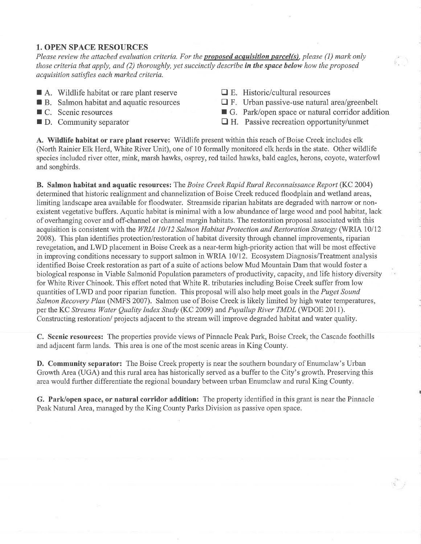#### 1. OPEN SPACE RESOURCES

Please review the attached evaluation criteria. For the **proposed acquisition parcel(s)**, please (1) mark only those criteria that apply, and (2) thoroughly, yet succinctly describe in the space below how the proposed acquisition satisfies each marked criteria.

- $\blacksquare$  A. Wildlife habitat or rare plant reserve
- **B.** Salmon habitat and aquatic resources
- $\blacksquare$  C. Scenic resources
- $\blacksquare$  D. Community separator
- $\Box$  E. Historic/cultural resources
- $\Box$  F. Urban passive-use natural area/greenbelt
- $\blacksquare$  G. Park/open space or natural corridor addition
- $\Box$  H. Passive recreation opportunity/unmet

A. Wildlife habitat or rare plant reserve: Wildlife present within this reach of Boise Creek includes elk (North Rainier Elk Herd, White River Unit), one of 10 formally monitored elk herds in the state. Other wildlife species included river otter, mink, marsh hawks, osprey, red tailed hawks, bald eagles, herons, coyote, waterfowl and songbirds.

B. Salmon habitat and aquatic resources: The Boise Creek Rapid Rural Reconnaissance Report (KC 2004) determined that historic realignment and channelization of Boise Creek reduced floodplain and wetland areas, limiting landscape area available for floodwater. Streamside riparian habitats are degraded with narrow or nonexistent vegetative buffers. Aquatic habitat is minimal with a low abundance of large wood and pool habitat, lack of overhanging cover and off-channel or channel margin habitats. The restoration proposal associated with this acquisition is consistent with the WRIA 10/12 Salmon Habitat Protection and Restoration Strategy (WRIA 10/12 2008). This plan identifies protection/restoration of habitat diversity through channel improvements, riparian revegetation, and LWD placement in Boise Creek as a near-term high-priority action that will be most effective in improving conditions necessary to support salmon in WRIA 10/12. Ecosystem Diagnosis/Treatment analysis identified Boise Creek restoration as part of a suite of actions below Mud Mountain Dam that would foster a biological response in Viable Salmonid Population parameters of productivity, capacity, and life history diversity for White River Chinook. This effort noted that White R. tributaries including Boise Creek suffer from low quantities of LWD and poor riparian function. This proposal will also help meet goals in the *Puget Sound* Salmon Recovery Plan (NMFS 2007). Salmon use of Boise Creek is likely limited by high water temperatures, per the KC Streams Water Quality Index Study (KC 2009) and Puyallup River TMDL (WDOE 2011). Constructing restoration/ projects adjacent to the stream will improve degraded habitat and water quality.

C. Scenic resources: The properties provide views of Pinnacle Peak Park, Boise Creek, the Cascade foothills and adjacent farm lands. This area is one of the most scenic areas in King County.

D. Community separator: The Boise Creek property is near the southern boundary of Enumclaw's Urban Growth Area (UGA) and this rural area has historically served as a buffer to the City's growth. Preserving this area would further differentiate the regional boundary between urban Enumclaw and rural King County.

G. Park/open space, or natural corridor addition: The property identified in this grant is near the Pinnacle Peak Natural Area, managed by the King County Parks Division as passive open space.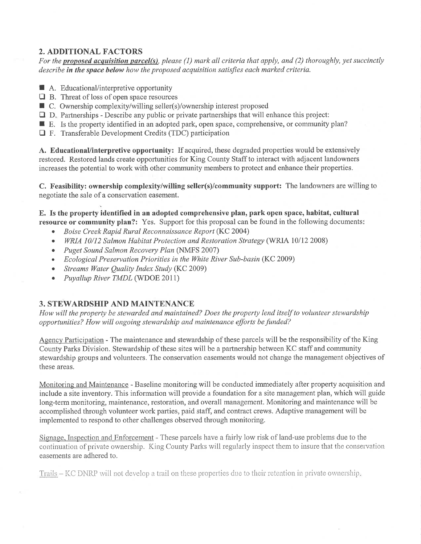# 2. ADDITIONAL FACTORS

For the **proposed acquisition parcel(s)**, please (1) mark all criteria that apply, and (2) thoroughly, yet succinctly describe in the space below how the proposed acquisition satisfies each marked criteria.

- A. Educational/interpretive opportunity
- $\Box$  B. Threat of loss of open space resources
- $\Box$  B. Theat of loss of open space resources<br> $\Box$  C. Ownership complexity/willing seller(s)/ownership interest proposed
- $\Box$  D. Partnerships Describe any public or private partnerships that will enhance this project:
- $\blacksquare$  E. Is the property identified in an adopted park, open space, comprehensive, or community plan?
- $\Box$  F. Transferable Development Credits (TDC) participation

A. Educational/interpretive opportunity: If acquired, these degraded properties would be extensively restored. Restored lands create opportunities for King County Staff to interact with adjacent landowners increases the potential to work with other community members to protect and enhance their properties.

C. Feasibility: ownership complexity/willing seller(s)/community support: The landowners are willing to negotiate the sale of a conservation easement.

E. Is the property identifîed in an adopted comprehensive plan, park open space, habitat, cultural resource or community plan?: Yes. Support for this proposal can be found in the following documents:

- Boise Creek Rapid Rural Reconnaissance Report (KC 2004)
- WRIA 10/12 Salmon Habitat Protection and Restoration Strategy (WRIA 10/12 2008)
- Puget Sound Salmon Recovery Plan (NMFS 2007)
- Ecological Preservation Priorities in the White River Sub-basin (KC 2009)
- Streams Water Quality Index Study (KC 2009)
- Puyallup River TMDL (WDOE 2011)

## 3. STEWARDSHIP AND MAINTENANCE

How will the property be stewarded and maintained? Does the property lend itself to volunteer stewardslùp opportunities? How will ongoing stewardship and maintenance efforts be funded?

Agency Participation - The maintenance and stewardship of these parcels will be the responsibility of the King County Parks Division. Stewardship of these sites will be a partnership between KC staff and community stewardship groups and volunteers. The conservation easements would not change the management objectives of these areas.

Monitoring and Maintenance - Baseline monitoring will be conducted immediately after property acquisition and include a site inventory. This information will provide a foundation for a site management plan, which will guide long-term monitoring, maintenance, restoration, and overall management. Monitoring and maintenance will be accomplished through volunteer work parties, paid staff, and contract crews. Adaptive management will be implemented to respond to other challenges observed through monitoring.

Signage. Inspection and Enforcement - These parcels have a fairly low risk of land-use problems due to the continuation of private ownership. King County Parks will regularly inspect them to insure that the conservation easements are adhered to.

Trails  $-KC$  DNRP will not develop a trail on these properties due to their retention in private ownership.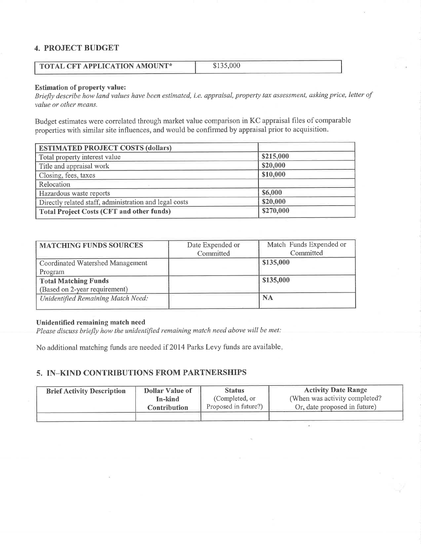#### 4. PROJECT BUDGET

| <b>TOTAL CFT APPLICATION AMOUNT*</b> | \$135,000 |
|--------------------------------------|-----------|
|                                      |           |

#### Estimation of property value:

Briefly describe how land values have been estimated, i.e. appraisal, property tax assessment, asking price, letter of value or other means.

Budget estimates were correlated through market value comparison in KC appraisal files of comparable properties with similar site influences, and would be confirmed by appraisal prior to acquisition.

| <b>ESTIMATED PROJECT COSTS (dollars)</b>               |           |  |
|--------------------------------------------------------|-----------|--|
| Total property interest value                          | \$215,000 |  |
| Title and appraisal work                               | \$20,000  |  |
| Closing, fees, taxes                                   | \$10,000  |  |
| Relocation                                             |           |  |
| Hazardous waste reports                                | \$6,000   |  |
| Directly related staff, administration and legal costs | \$20,000  |  |
| <b>Total Project Costs (CFT and other funds)</b>       | \$270,000 |  |

| Date Expended or | Match Funds Expended or<br>Committed |
|------------------|--------------------------------------|
|                  |                                      |
|                  | \$135,000                            |
|                  |                                      |
|                  | \$135,000                            |
|                  |                                      |
|                  | <b>NA</b>                            |
|                  | Committed                            |

#### Unidentified remaining match need

Please discuss briefly how the unidentified remaining match need above will be met:

No additional matching funds are needed if 2014 Parks Levy funds are available

#### 5. IN-KIND CONTRIBUTIONS FROM PARTNERSHIPS

| <b>Brief Activity Description</b> | <b>Dollar Value of</b> | <b>Status</b>        | <b>Activity Date Range</b>     |
|-----------------------------------|------------------------|----------------------|--------------------------------|
|                                   | In-kind                | (Completed, or       | (When was activity completed?) |
|                                   | <b>Contribution</b>    | Proposed in future?) | Or, date proposed in future)   |
|                                   |                        |                      |                                |